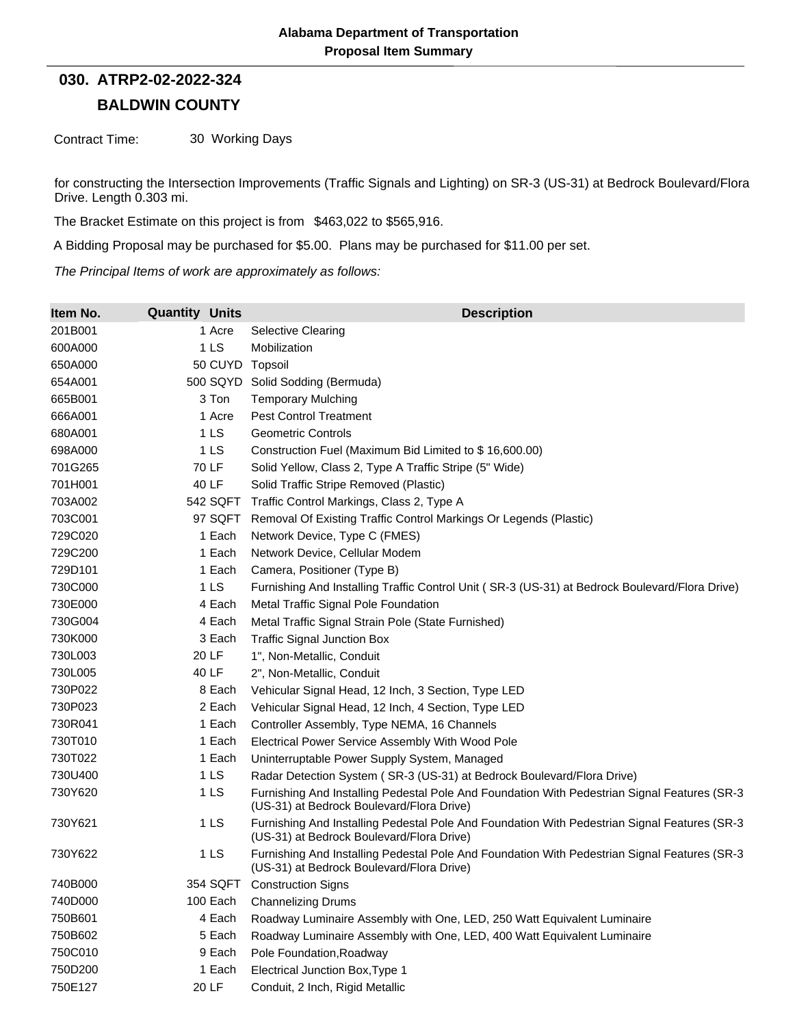## **BALDWIN COUNTY 030. ATRP2-02-2022-324**

Contract Time: 30 Working Days

for constructing the Intersection Improvements (Traffic Signals and Lighting) on SR-3 (US-31) at Bedrock Boulevard/Flora Drive. Length 0.303 mi.

The Bracket Estimate on this project is from \$463,022 to \$565,916.

A Bidding Proposal may be purchased for \$5.00. Plans may be purchased for \$11.00 per set.

*The Principal Items of work are approximately as follows:*

| Item No. | <b>Quantity Units</b> | <b>Description</b>                                                                                                                        |
|----------|-----------------------|-------------------------------------------------------------------------------------------------------------------------------------------|
| 201B001  | 1 Acre                | <b>Selective Clearing</b>                                                                                                                 |
| 600A000  | 1 <sub>LS</sub>       | Mobilization                                                                                                                              |
| 650A000  | 50 CUYD Topsoil       |                                                                                                                                           |
| 654A001  |                       | 500 SQYD Solid Sodding (Bermuda)                                                                                                          |
| 665B001  | 3 Ton                 | <b>Temporary Mulching</b>                                                                                                                 |
| 666A001  | 1 Acre                | <b>Pest Control Treatment</b>                                                                                                             |
| 680A001  | 1 <sub>LS</sub>       | <b>Geometric Controls</b>                                                                                                                 |
| 698A000  | 1LS                   | Construction Fuel (Maximum Bid Limited to \$16,600.00)                                                                                    |
| 701G265  | 70 LF                 | Solid Yellow, Class 2, Type A Traffic Stripe (5" Wide)                                                                                    |
| 701H001  | 40 LF                 | Solid Traffic Stripe Removed (Plastic)                                                                                                    |
| 703A002  | 542 SQFT              | Traffic Control Markings, Class 2, Type A                                                                                                 |
| 703C001  | 97 SQFT               | Removal Of Existing Traffic Control Markings Or Legends (Plastic)                                                                         |
| 729C020  | 1 Each                | Network Device, Type C (FMES)                                                                                                             |
| 729C200  | 1 Each                | Network Device, Cellular Modem                                                                                                            |
| 729D101  | 1 Each                | Camera, Positioner (Type B)                                                                                                               |
| 730C000  | 1 <sub>LS</sub>       | Furnishing And Installing Traffic Control Unit (SR-3 (US-31) at Bedrock Boulevard/Flora Drive)                                            |
| 730E000  | 4 Each                | Metal Traffic Signal Pole Foundation                                                                                                      |
| 730G004  | 4 Each                | Metal Traffic Signal Strain Pole (State Furnished)                                                                                        |
| 730K000  | 3 Each                | <b>Traffic Signal Junction Box</b>                                                                                                        |
| 730L003  | 20 LF                 | 1", Non-Metallic, Conduit                                                                                                                 |
| 730L005  | 40 LF                 | 2", Non-Metallic, Conduit                                                                                                                 |
| 730P022  | 8 Each                | Vehicular Signal Head, 12 Inch, 3 Section, Type LED                                                                                       |
| 730P023  | 2 Each                | Vehicular Signal Head, 12 Inch, 4 Section, Type LED                                                                                       |
| 730R041  | 1 Each                | Controller Assembly, Type NEMA, 16 Channels                                                                                               |
| 730T010  | 1 Each                | Electrical Power Service Assembly With Wood Pole                                                                                          |
| 730T022  | 1 Each                | Uninterruptable Power Supply System, Managed                                                                                              |
| 730U400  | 1 <sub>LS</sub>       | Radar Detection System (SR-3 (US-31) at Bedrock Boulevard/Flora Drive)                                                                    |
| 730Y620  | 1 LS                  | Furnishing And Installing Pedestal Pole And Foundation With Pedestrian Signal Features (SR-3<br>(US-31) at Bedrock Boulevard/Flora Drive) |
| 730Y621  | 1 <sub>LS</sub>       | Furnishing And Installing Pedestal Pole And Foundation With Pedestrian Signal Features (SR-3<br>(US-31) at Bedrock Boulevard/Flora Drive) |
| 730Y622  | 1 <sub>LS</sub>       | Furnishing And Installing Pedestal Pole And Foundation With Pedestrian Signal Features (SR-3<br>(US-31) at Bedrock Boulevard/Flora Drive) |
| 740B000  |                       | 354 SQFT Construction Signs                                                                                                               |
| 740D000  | 100 Each              | <b>Channelizing Drums</b>                                                                                                                 |
| 750B601  | 4 Each                | Roadway Luminaire Assembly with One, LED, 250 Watt Equivalent Luminaire                                                                   |
| 750B602  | 5 Each                | Roadway Luminaire Assembly with One, LED, 400 Watt Equivalent Luminaire                                                                   |
| 750C010  | 9 Each                | Pole Foundation, Roadway                                                                                                                  |
| 750D200  | 1 Each                | Electrical Junction Box, Type 1                                                                                                           |
| 750E127  | 20 LF                 | Conduit, 2 Inch, Rigid Metallic                                                                                                           |